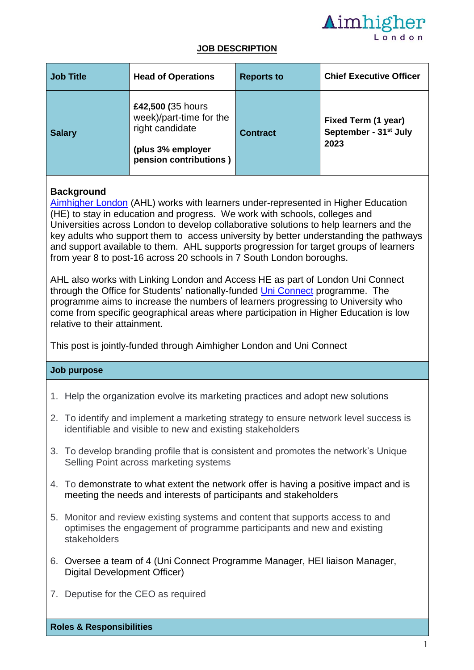

#### **JOB DESCRIPTION**

| <b>Job Title</b> | <b>Head of Operations</b>                                                                                      | <b>Reports to</b> | <b>Chief Executive Officer</b>                                   |
|------------------|----------------------------------------------------------------------------------------------------------------|-------------------|------------------------------------------------------------------|
| <b>Salary</b>    | £42,500 (35 hours<br>week)/part-time for the<br>right candidate<br>(plus 3% employer<br>pension contributions) | <b>Contract</b>   | Fixed Term (1 year)<br>September - 31 <sup>st</sup> July<br>2023 |

## **Background**

[Aimhigher London](https://aimhigherlondon.org.uk/) (AHL) works with learners under-represented in Higher Education (HE) to stay in education and progress. We work with schools, colleges and Universities across London to develop collaborative solutions to help learners and the key adults who support them to access university by better understanding the pathways and support available to them. AHL supports progression for target groups of learners from year 8 to post-16 across 20 schools in 7 South London boroughs.

AHL also works with Linking London and Access HE as part of London Uni Connect through the Office for Students' nationally-funded [Uni Connect](https://www.officeforstudents.org.uk/advice-and-guidance/promoting-equal-opportunities/uni-connect/) programme. The programme aims to increase the numbers of learners progressing to University who come from specific geographical areas where participation in Higher Education is low relative to their attainment.

This post is jointly-funded through Aimhigher London and Uni Connect

#### **Job purpose**

- 1. Help the organization evolve its marketing practices and adopt new solutions
- 2. To identify and implement a marketing strategy to ensure network level success is identifiable and visible to new and existing stakeholders
- 3. To develop branding profile that is consistent and promotes the network's Unique Selling Point across marketing systems
- 4. To demonstrate to what extent the network offer is having a positive impact and is meeting the needs and interests of participants and stakeholders
- 5. Monitor and review existing systems and content that supports access to and optimises the engagement of programme participants and new and existing stakeholders
- 6. Oversee a team of 4 (Uni Connect Programme Manager, HEI liaison Manager, Digital Development Officer)
- 7. Deputise for the CEO as required

**Roles & Responsibilities**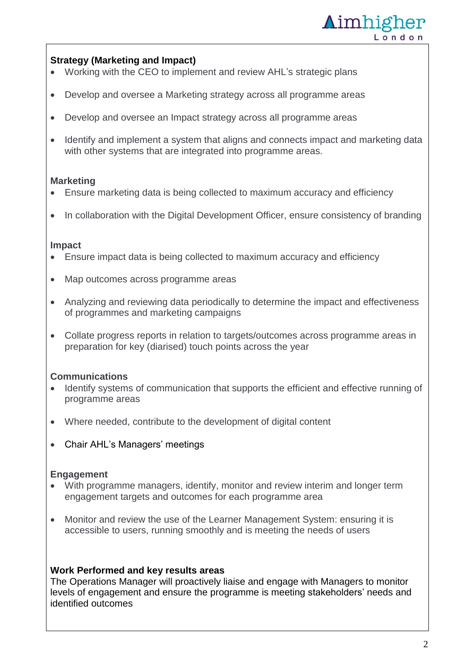

## **Strategy (Marketing and Impact)**

- Working with the CEO to implement and review AHL's strategic plans
- Develop and oversee a Marketing strategy across all programme areas
- Develop and oversee an Impact strategy across all programme areas
- Identify and implement a system that aligns and connects impact and marketing data with other systems that are integrated into programme areas.

### **Marketing**

- Ensure marketing data is being collected to maximum accuracy and efficiency
- In collaboration with the Digital Development Officer, ensure consistency of branding

#### **Impact**

- Ensure impact data is being collected to maximum accuracy and efficiency
- Map outcomes across programme areas
- Analyzing and reviewing data periodically to determine the impact and effectiveness of programmes and marketing campaigns
- Collate progress reports in relation to targets/outcomes across programme areas in preparation for key (diarised) touch points across the year

#### **Communications**

- Identify systems of communication that supports the efficient and effective running of programme areas
- Where needed, contribute to the development of digital content
- Chair AHL's Managers' meetings

#### **Engagement**

- With programme managers, identify, monitor and review interim and longer term engagement targets and outcomes for each programme area
- Monitor and review the use of the Learner Management System: ensuring it is accessible to users, running smoothly and is meeting the needs of users

#### **Work Performed and key results areas**

The Operations Manager will proactively liaise and engage with Managers to monitor levels of engagement and ensure the programme is meeting stakeholders' needs and identified outcomes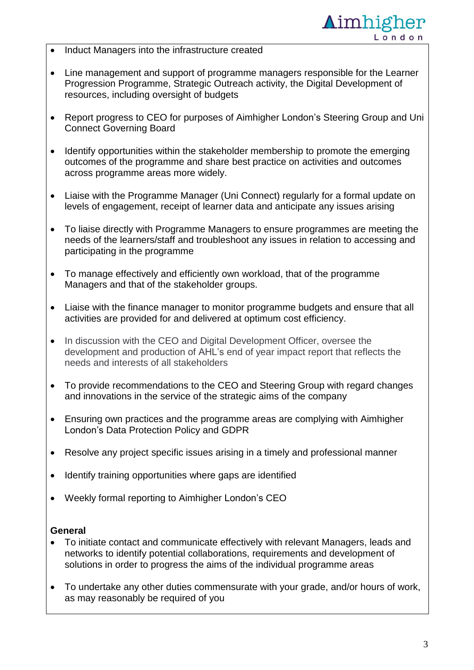

- Induct Managers into the infrastructure created
- Line management and support of programme managers responsible for the Learner Progression Programme, Strategic Outreach activity, the Digital Development of resources, including oversight of budgets
- Report progress to CEO for purposes of Aimhigher London's Steering Group and Uni Connect Governing Board
- Identify opportunities within the stakeholder membership to promote the emerging outcomes of the programme and share best practice on activities and outcomes across programme areas more widely.
- Liaise with the Programme Manager (Uni Connect) regularly for a formal update on levels of engagement, receipt of learner data and anticipate any issues arising
- To liaise directly with Programme Managers to ensure programmes are meeting the needs of the learners/staff and troubleshoot any issues in relation to accessing and participating in the programme
- To manage effectively and efficiently own workload, that of the programme Managers and that of the stakeholder groups.
- Liaise with the finance manager to monitor programme budgets and ensure that all activities are provided for and delivered at optimum cost efficiency.
- In discussion with the CEO and Digital Development Officer, oversee the development and production of AHL's end of year impact report that reflects the needs and interests of all stakeholders
- To provide recommendations to the CEO and Steering Group with regard changes and innovations in the service of the strategic aims of the company
- Ensuring own practices and the programme areas are complying with Aimhigher London's Data Protection Policy and GDPR
- Resolve any project specific issues arising in a timely and professional manner
- Identify training opportunities where gaps are identified
- Weekly formal reporting to Aimhigher London's CEO

#### **General**

- To initiate contact and communicate effectively with relevant Managers, leads and networks to identify potential collaborations, requirements and development of solutions in order to progress the aims of the individual programme areas
- To undertake any other duties commensurate with your grade, and/or hours of work, as may reasonably be required of you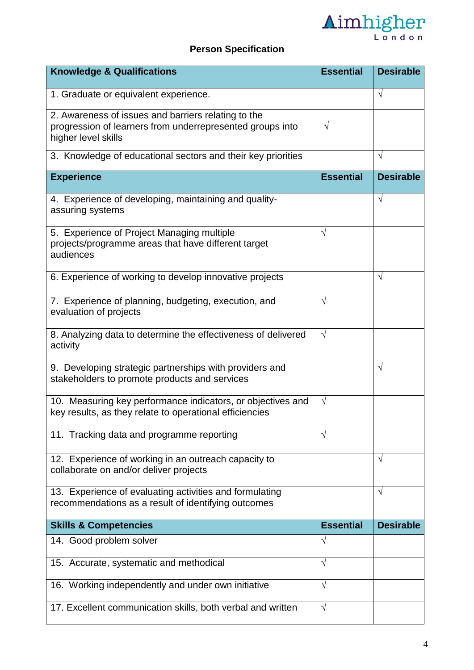

# **Person Specification**

| <b>Knowledge &amp; Qualifications</b>                                                                                                   | <b>Essential</b> | <b>Desirable</b> |
|-----------------------------------------------------------------------------------------------------------------------------------------|------------------|------------------|
| 1. Graduate or equivalent experience.                                                                                                   |                  | $\sqrt{}$        |
| 2. Awareness of issues and barriers relating to the<br>progression of learners from underrepresented groups into<br>higher level skills | $\sqrt{}$        |                  |
| 3. Knowledge of educational sectors and their key priorities                                                                            |                  | $\sqrt{}$        |
| <b>Experience</b>                                                                                                                       | <b>Essential</b> | <b>Desirable</b> |
| 4. Experience of developing, maintaining and quality-<br>assuring systems                                                               |                  | $\sqrt{}$        |
| 5. Experience of Project Managing multiple<br>projects/programme areas that have different target<br>audiences                          | $\sqrt{}$        |                  |
| 6. Experience of working to develop innovative projects                                                                                 |                  | $\sqrt{}$        |
| 7. Experience of planning, budgeting, execution, and<br>evaluation of projects                                                          | $\sqrt{}$        |                  |
| 8. Analyzing data to determine the effectiveness of delivered<br>activity                                                               | $\sqrt{ }$       |                  |
| 9. Developing strategic partnerships with providers and<br>stakeholders to promote products and services                                |                  | $\sqrt{}$        |
| 10. Measuring key performance indicators, or objectives and<br>key results, as they relate to operational efficiencies                  | $\sqrt{}$        |                  |
| 11. Tracking data and programme reporting                                                                                               |                  |                  |
| 12. Experience of working in an outreach capacity to<br>collaborate on and/or deliver projects                                          |                  | V                |
| 13. Experience of evaluating activities and formulating<br>recommendations as a result of identifying outcomes                          |                  | V                |
| <b>Skills &amp; Competencies</b>                                                                                                        | <b>Essential</b> | <b>Desirable</b> |
| 14. Good problem solver                                                                                                                 | $\sqrt{ }$       |                  |
| 15. Accurate, systematic and methodical                                                                                                 | $\sqrt{ }$       |                  |
| 16. Working independently and under own initiative                                                                                      | $\sqrt{ }$       |                  |
| 17. Excellent communication skills, both verbal and written                                                                             | $\sqrt{ }$       |                  |